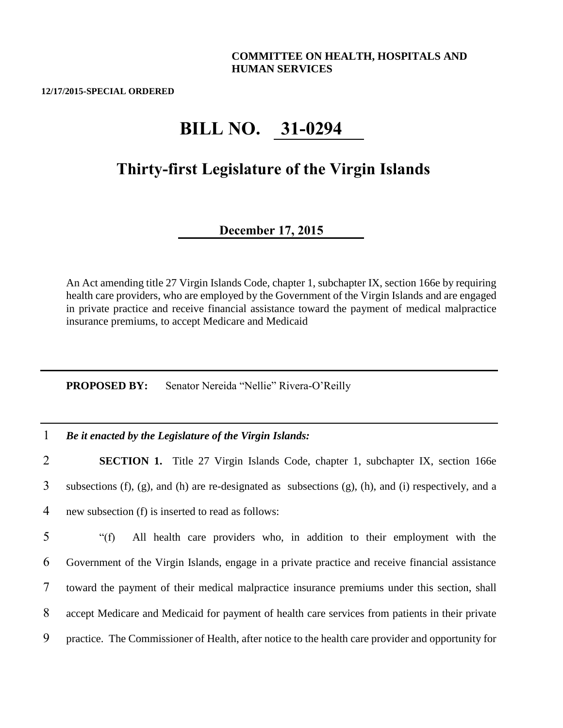## **COMMITTEE ON HEALTH, HOSPITALS AND HUMAN SERVICES**

**12/17/2015-SPECIAL ORDERED**

## **BILL NO. 31-0294**

## **Thirty-first Legislature of the Virgin Islands**

## **December 17, 2015**

An Act amending title 27 Virgin Islands Code, chapter 1, subchapter IX, section 166e by requiring health care providers, who are employed by the Government of the Virgin Islands and are engaged in private practice and receive financial assistance toward the payment of medical malpractice insurance premiums, to accept Medicare and Medicaid

**PROPOSED BY:** Senator Nereida "Nellie" Rivera-O'Reilly

1 *Be it enacted by the Legislature of the Virgin Islands:*

2 **SECTION 1.** Title 27 Virgin Islands Code, chapter 1, subchapter IX, section 166e 3 subsections (f), (g), and (h) are re-designated as subsections (g), (h), and (i) respectively, and a 4 new subsection (f) is inserted to read as follows:

 "(f) All health care providers who, in addition to their employment with the Government of the Virgin Islands, engage in a private practice and receive financial assistance toward the payment of their medical malpractice insurance premiums under this section, shall accept Medicare and Medicaid for payment of health care services from patients in their private practice. The Commissioner of Health, after notice to the health care provider and opportunity for